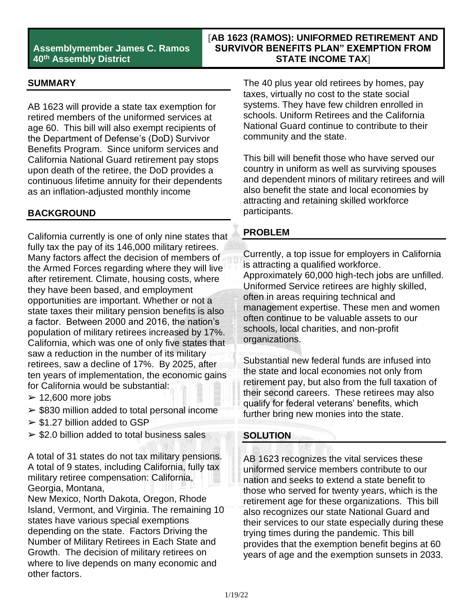## **Assemblymember James C. Ramos 40th Assembly District**

## **[AB 1623 (RAMOS): UNIFORMED RETIREMENT AND SURVIVOR BENEFITS PLAN" EXEMPTION FROM STATE INCOME TAX]**

#### **SUMMARY**

AB 1623 will provide a state tax exemption for retired members of the uniformed services at age 60. This bill will also exempt recipients of the Department of Defense's (DoD) Survivor Benefits Program. Since uniform services and California National Guard retirement pay stops upon death of the retiree, the DoD provides a continuous lifetime annuity for their dependents as an inflation-adjusted monthly income

#### **BACKGROUND**

California currently is one of only nine states that fully tax the pay of its 146,000 military retirees. Many factors affect the decision of members of the Armed Forces regarding where they will live after retirement. Climate, housing costs, where they have been based, and employment opportunities are important. Whether or not a state taxes their military pension benefits is also a factor. Between 2000 and 2016, the nation's population of military retirees increased by 17%. California, which was one of only five states that saw a reduction in the number of its military retirees, saw a decline of 17%. By 2025, after ten years of implementation, the economic gains for California would be substantial:

- $\geq$  12,600 more jobs
- $\ge$  \$830 million added to total personal income
- $\geq$  \$1.27 billion added to GSP
- $\ge$  \$2.0 billion added to total business sales

A total of 31 states do not tax military pensions. A total of 9 states, including California, fully tax military retiree compensation: California, Georgia, Montana,

New Mexico, North Dakota, Oregon, Rhode Island, Vermont, and Virginia. The remaining 10 states have various special exemptions depending on the state. Factors Driving the Number of Military Retirees in Each State and Growth. The decision of military retirees on where to live depends on many economic and other factors.

The 40 plus year old retirees by homes, pay taxes, virtually no cost to the state social systems. They have few children enrolled in schools. Uniform Retirees and the California National Guard continue to contribute to their community and the state.

This bill will benefit those who have served our country in uniform as well as surviving spouses and dependent minors of military retirees and will also benefit the state and local economies by attracting and retaining skilled workforce participants.

### **PROBLEM**

Currently, a top issue for employers in California is attracting a qualified workforce. Approximately 60,000 high-tech jobs are unfilled. Uniformed Service retirees are highly skilled, often in areas requiring technical and management expertise. These men and women often continue to be valuable assets to our schools, local charities, and non-profit organizations.

Substantial new federal funds are infused into the state and local economies not only from retirement pay, but also from the full taxation of their second careers. These retirees may also qualify for federal veterans' benefits, which further bring new monies into the state.

#### **SOLUTION**

AB 1623 recognizes the vital services these uniformed service members contribute to our nation and seeks to extend a state benefit to those who served for twenty years, which is the retirement age for these organizations. This bill also recognizes our state National Guard and their services to our state especially during these trying times during the pandemic. This bill provides that the exemption benefit begins at 60 years of age and the exemption sunsets in 2033.